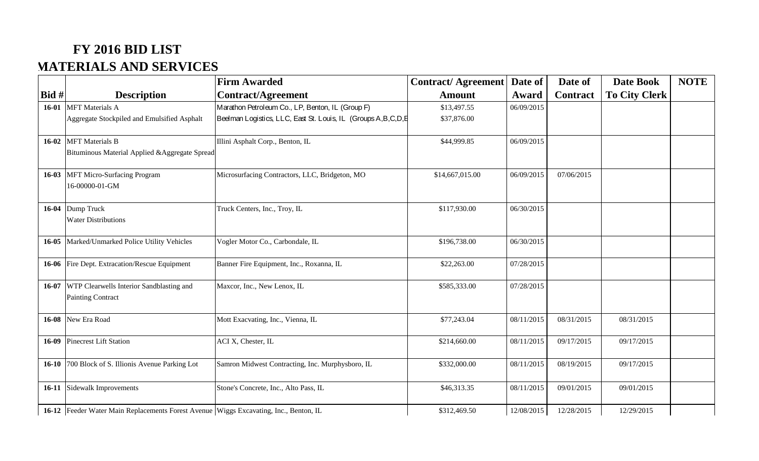## **FY 2016 BID LIST MATERIALS AND SERVICES**

|           |                                                                                       | <b>Firm Awarded</b>                                              | <b>Contract/Agreement</b> | Date of    | Date of         | <b>Date Book</b>     | <b>NOTE</b> |
|-----------|---------------------------------------------------------------------------------------|------------------------------------------------------------------|---------------------------|------------|-----------------|----------------------|-------------|
| Bid #     | <b>Description</b>                                                                    | Contract/Agreement                                               | <b>Amount</b>             | Award      | <b>Contract</b> | <b>To City Clerk</b> |             |
| $16-01$   | <b>MFT</b> Materials A                                                                | Marathon Petroleum Co., LP, Benton, IL (Group F)                 | \$13,497.55               | 06/09/2015 |                 |                      |             |
|           | Aggregate Stockpiled and Emulsified Asphalt                                           | Beelman Logistics, LLC, East St. Louis, IL (Groups A, B, C, D, E | \$37,876.00               |            |                 |                      |             |
| $16-02$   | <b>MFT</b> Materials B<br>Bituminous Material Applied & Aggregate Spread              | Illini Asphalt Corp., Benton, IL                                 | \$44,999.85               | 06/09/2015 |                 |                      |             |
| $16-03$   | <b>MFT Micro-Surfacing Program</b><br>16-00000-01-GM                                  | Microsurfacing Contractors, LLC, Bridgeton, MO                   | \$14,667,015.00           | 06/09/2015 | 07/06/2015      |                      |             |
| 16-04     | Dump Truck<br><b>Water Distributions</b>                                              | Truck Centers, Inc., Troy, IL                                    | \$117,930.00              | 06/30/2015 |                 |                      |             |
|           | 16-05 Marked/Unmarked Police Utility Vehicles                                         | Vogler Motor Co., Carbondale, IL                                 | \$196,738.00              | 06/30/2015 |                 |                      |             |
|           | 16-06 Fire Dept. Extracation/Rescue Equipment                                         | Banner Fire Equipment, Inc., Roxanna, IL                         | \$22,263.00               | 07/28/2015 |                 |                      |             |
| 16-07     | WTP Clearwells Interior Sandblasting and<br><b>Painting Contract</b>                  | Maxcor, Inc., New Lenox, IL                                      | \$585,333.00              | 07/28/2015 |                 |                      |             |
| $16 - 08$ | New Era Road                                                                          | Mott Exacvating, Inc., Vienna, IL                                | \$77,243.04               | 08/11/2015 | 08/31/2015      | 08/31/2015           |             |
| $16-09$   | <b>Pinecrest Lift Station</b>                                                         | ACI X, Chester, IL                                               | \$214,660.00              | 08/11/2015 | 09/17/2015      | 09/17/2015           |             |
| $16 - 10$ | 700 Block of S. Illionis Avenue Parking Lot                                           | Samron Midwest Contracting, Inc. Murphysboro, IL                 | \$332,000.00              | 08/11/2015 | 08/19/2015      | 09/17/2015           |             |
|           | 16-11 Sidewalk Improvements                                                           | Stone's Concrete, Inc., Alto Pass, IL                            | \$46,313.35               | 08/11/2015 | 09/01/2015      | 09/01/2015           |             |
|           | 16-12 Feeder Water Main Replacements Forest Avenue Wiggs Excavating, Inc., Benton, IL |                                                                  | \$312,469.50              | 12/08/2015 | 12/28/2015      | 12/29/2015           |             |